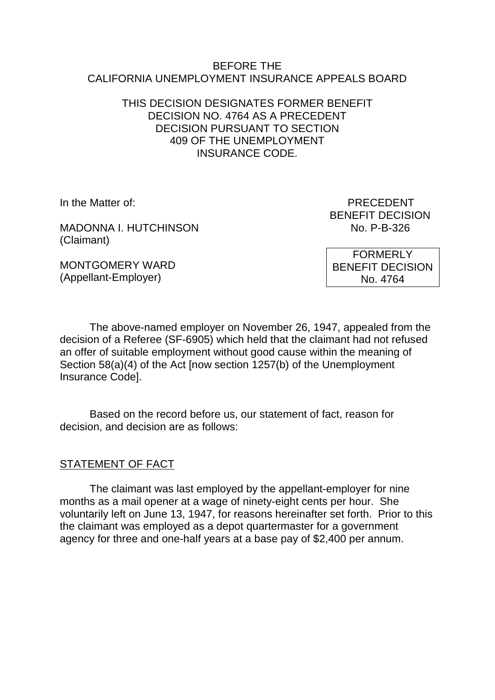#### BEFORE THE CALIFORNIA UNEMPLOYMENT INSURANCE APPEALS BOARD

#### THIS DECISION DESIGNATES FORMER BENEFIT DECISION NO. 4764 AS A PRECEDENT DECISION PURSUANT TO SECTION 409 OF THE UNEMPLOYMENT INSURANCE CODE.

MADONNA I. HUTCHINSON NO. P-B-326 (Claimant)

MONTGOMERY WARD (Appellant-Employer)

In the Matter of: PRECEDENT BENEFIT DECISION

> FORMERLY BENEFIT DECISION No. 4764

The above-named employer on November 26, 1947, appealed from the decision of a Referee (SF-6905) which held that the claimant had not refused an offer of suitable employment without good cause within the meaning of Section 58(a)(4) of the Act [now section 1257(b) of the Unemployment Insurance Code].

Based on the record before us, our statement of fact, reason for decision, and decision are as follows:

# STATEMENT OF FACT

The claimant was last employed by the appellant-employer for nine months as a mail opener at a wage of ninety-eight cents per hour. She voluntarily left on June 13, 1947, for reasons hereinafter set forth. Prior to this the claimant was employed as a depot quartermaster for a government agency for three and one-half years at a base pay of \$2,400 per annum.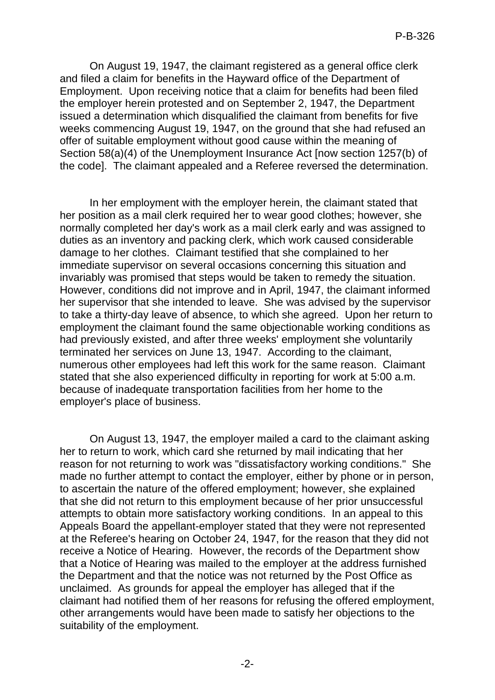On August 19, 1947, the claimant registered as a general office clerk and filed a claim for benefits in the Hayward office of the Department of Employment. Upon receiving notice that a claim for benefits had been filed the employer herein protested and on September 2, 1947, the Department issued a determination which disqualified the claimant from benefits for five weeks commencing August 19, 1947, on the ground that she had refused an offer of suitable employment without good cause within the meaning of Section 58(a)(4) of the Unemployment Insurance Act [now section 1257(b) of the code]. The claimant appealed and a Referee reversed the determination.

In her employment with the employer herein, the claimant stated that her position as a mail clerk required her to wear good clothes; however, she normally completed her day's work as a mail clerk early and was assigned to duties as an inventory and packing clerk, which work caused considerable damage to her clothes. Claimant testified that she complained to her immediate supervisor on several occasions concerning this situation and invariably was promised that steps would be taken to remedy the situation. However, conditions did not improve and in April, 1947, the claimant informed her supervisor that she intended to leave. She was advised by the supervisor to take a thirty-day leave of absence, to which she agreed. Upon her return to employment the claimant found the same objectionable working conditions as had previously existed, and after three weeks' employment she voluntarily terminated her services on June 13, 1947. According to the claimant, numerous other employees had left this work for the same reason. Claimant stated that she also experienced difficulty in reporting for work at 5:00 a.m. because of inadequate transportation facilities from her home to the employer's place of business.

On August 13, 1947, the employer mailed a card to the claimant asking her to return to work, which card she returned by mail indicating that her reason for not returning to work was "dissatisfactory working conditions." She made no further attempt to contact the employer, either by phone or in person, to ascertain the nature of the offered employment; however, she explained that she did not return to this employment because of her prior unsuccessful attempts to obtain more satisfactory working conditions. In an appeal to this Appeals Board the appellant-employer stated that they were not represented at the Referee's hearing on October 24, 1947, for the reason that they did not receive a Notice of Hearing. However, the records of the Department show that a Notice of Hearing was mailed to the employer at the address furnished the Department and that the notice was not returned by the Post Office as unclaimed. As grounds for appeal the employer has alleged that if the claimant had notified them of her reasons for refusing the offered employment, other arrangements would have been made to satisfy her objections to the suitability of the employment.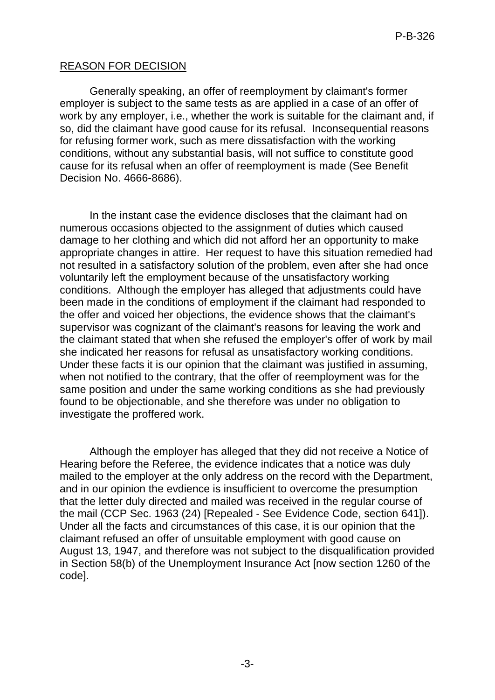# REASON FOR DECISION

Generally speaking, an offer of reemployment by claimant's former employer is subject to the same tests as are applied in a case of an offer of work by any employer, i.e., whether the work is suitable for the claimant and, if so, did the claimant have good cause for its refusal. Inconsequential reasons for refusing former work, such as mere dissatisfaction with the working conditions, without any substantial basis, will not suffice to constitute good cause for its refusal when an offer of reemployment is made (See Benefit Decision No. 4666-8686).

In the instant case the evidence discloses that the claimant had on numerous occasions objected to the assignment of duties which caused damage to her clothing and which did not afford her an opportunity to make appropriate changes in attire. Her request to have this situation remedied had not resulted in a satisfactory solution of the problem, even after she had once voluntarily left the employment because of the unsatisfactory working conditions. Although the employer has alleged that adjustments could have been made in the conditions of employment if the claimant had responded to the offer and voiced her objections, the evidence shows that the claimant's supervisor was cognizant of the claimant's reasons for leaving the work and the claimant stated that when she refused the employer's offer of work by mail she indicated her reasons for refusal as unsatisfactory working conditions. Under these facts it is our opinion that the claimant was justified in assuming, when not notified to the contrary, that the offer of reemployment was for the same position and under the same working conditions as she had previously found to be objectionable, and she therefore was under no obligation to investigate the proffered work.

Although the employer has alleged that they did not receive a Notice of Hearing before the Referee, the evidence indicates that a notice was duly mailed to the employer at the only address on the record with the Department, and in our opinion the evdience is insufficient to overcome the presumption that the letter duly directed and mailed was received in the regular course of the mail (CCP Sec. 1963 (24) [Repealed - See Evidence Code, section 641]). Under all the facts and circumstances of this case, it is our opinion that the claimant refused an offer of unsuitable employment with good cause on August 13, 1947, and therefore was not subject to the disqualification provided in Section 58(b) of the Unemployment Insurance Act [now section 1260 of the code].